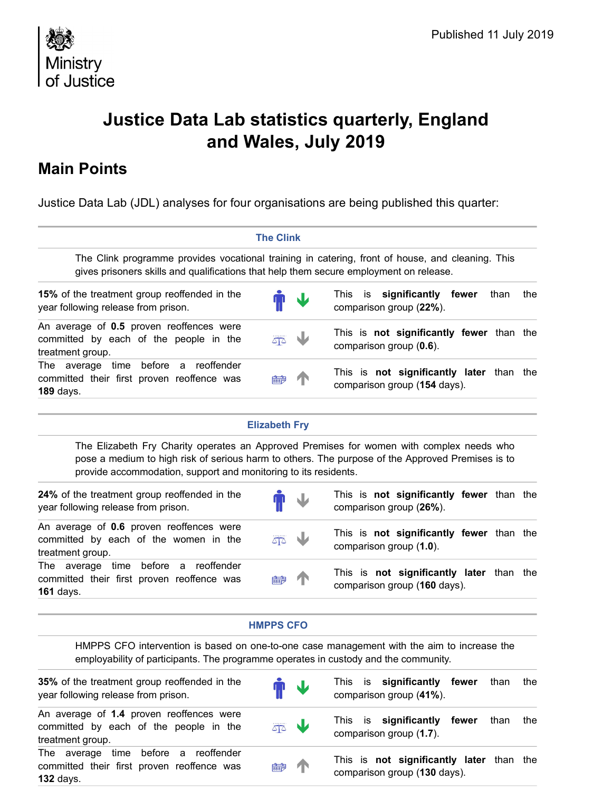

# Justice Data Lab statistics quarterly, England and Wales, July 2019

# Main Points

| 观念<br>Ministry<br>of Justice                                                                                                                                                                                                                                    |                      |                                                                          | Published 11 July 2019 |     |  |  |
|-----------------------------------------------------------------------------------------------------------------------------------------------------------------------------------------------------------------------------------------------------------------|----------------------|--------------------------------------------------------------------------|------------------------|-----|--|--|
| Justice Data Lab statistics quarterly, England<br>and Wales, July 2019                                                                                                                                                                                          |                      |                                                                          |                        |     |  |  |
| <b>Main Points</b>                                                                                                                                                                                                                                              |                      |                                                                          |                        |     |  |  |
| Justice Data Lab (JDL) analyses for four organisations are being published this quarter:                                                                                                                                                                        |                      |                                                                          |                        |     |  |  |
|                                                                                                                                                                                                                                                                 | <b>The Clink</b>     |                                                                          |                        |     |  |  |
| The Clink programme provides vocational training in catering, front of house, and cleaning. This<br>gives prisoners skills and qualifications that help them secure employment on release.                                                                      |                      |                                                                          |                        |     |  |  |
| 15% of the treatment group reoffended in the<br>year following release from prison.                                                                                                                                                                             | N                    | significantly fewer than the<br>is<br>This<br>comparison group (22%).    |                        |     |  |  |
| An average of 0.5 proven reoffences were<br>committed by each of the people in the<br>treatment group.                                                                                                                                                          | 40                   | This is not significantly fewer than the<br>comparison group (0.6).      |                        |     |  |  |
| The average time before a reoffender<br>committed their first proven reoffence was<br><b>189 days.</b>                                                                                                                                                          | 的詞                   | This is not significantly later than the<br>comparison group (154 days). |                        |     |  |  |
|                                                                                                                                                                                                                                                                 | <b>Elizabeth Fry</b> |                                                                          |                        |     |  |  |
| The Elizabeth Fry Charity operates an Approved Premises for women with complex needs who<br>pose a medium to high risk of serious harm to others. The purpose of the Approved Premises is to<br>provide accommodation, support and monitoring to its residents. |                      |                                                                          |                        |     |  |  |
| 24% of the treatment group reoffended in the<br>year following release from prison.                                                                                                                                                                             |                      | This is not significantly fewer than the<br>comparison group (26%).      |                        |     |  |  |
| An average of 0.6 proven reoffences were<br>committed by each of the women in the<br>treatment group.                                                                                                                                                           | 주                    | This is not significantly fewer than the<br>comparison group (1.0).      |                        |     |  |  |
| The average time before a reoffender<br>committed their first proven reoffence was<br><b>161 days.</b>                                                                                                                                                          | 的                    | This is not significantly later than the<br>comparison group (160 days). |                        |     |  |  |
|                                                                                                                                                                                                                                                                 | <b>HMPPS CFO</b>     |                                                                          |                        |     |  |  |
| HMPPS CFO intervention is based on one-to-one case management with the aim to increase the<br>employability of participants. The programme operates in custody and the community.                                                                               |                      |                                                                          |                        |     |  |  |
| 35% of the treatment group reoffended in the<br>year following release from prison.                                                                                                                                                                             | $\mathbf{L}$         | is significantly fewer<br>This<br>comparison group (41%).                | than                   | the |  |  |
| An average of 1.4 proven reoffences were<br>committed by each of the people in the<br>treatment group.                                                                                                                                                          | W<br>주소              | significantly fewer than<br>is<br>This.<br>comparison group (1.7).       |                        | the |  |  |

| provide accommodation, support and monitoring to its residents.                                                                                                                   |                  |   | pose a medium to high risk of serious harm to others. The purpose of the Approved Premises is to |      |     |
|-----------------------------------------------------------------------------------------------------------------------------------------------------------------------------------|------------------|---|--------------------------------------------------------------------------------------------------|------|-----|
| 24% of the treatment group reoffended in the<br>year following release from prison.                                                                                               |                  |   | This is not significantly fewer than the<br>comparison group (26%).                              |      |     |
| An average of 0.6 proven reoffences were<br>committed by each of the women in the<br>treatment group.                                                                             | 주소               | w | This is not significantly fewer than the<br>comparison group (1.0).                              |      |     |
| The average time before a reoffender<br>committed their first proven reoffence was<br><b>161 days.</b>                                                                            | 的                |   | This is not significantly later than the<br>comparison group (160 days).                         |      |     |
|                                                                                                                                                                                   | <b>HMPPS CFO</b> |   |                                                                                                  |      |     |
| HMPPS CFO intervention is based on one-to-one case management with the aim to increase the<br>employability of participants. The programme operates in custody and the community. |                  |   |                                                                                                  |      |     |
|                                                                                                                                                                                   |                  |   |                                                                                                  |      |     |
| 35% of the treatment group reoffended in the<br>year following release from prison.                                                                                               |                  | W | significantly fewer<br>is<br>This<br>comparison group (41%).                                     | than | the |
| An average of 1.4 proven reoffences were<br>committed by each of the people in the<br>treatment group.                                                                            | 50               | W | significantly fewer<br>is<br>This<br>comparison group (1.7).                                     | than | the |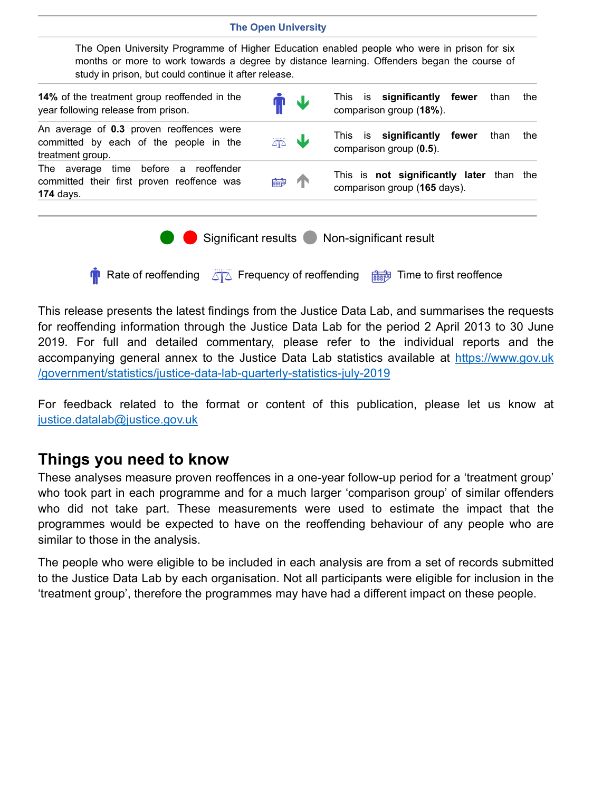### The Open University

This release presents the latest findings from the Justice Data Lab, and summarises the requests for reoffending information through the Justice Data Lab for the period 2 April 2013 to 30 June accompanying general annex to the Justice Data Lab statistics available at https://www.gov.uk /government/statistics/justice-data-lab-quarterly-statistics-july-2019 **This release presents the latest findings from the Justice Data Lab, and summarises the requests<br>for reoffending information through the Justice Data Lab for the period 2 April 2013 to 30 June<br>2019. For full and detailed** 

# Things you need to know

These analyses measure proven reoffences in a one-year follow-up period for a 'treatment group' who took part in each programme and for a much larger 'comparison group' of similar offenders programmes would be expected to have on the reoffending behaviour of any people who are similar to those in the analysis.

The people who were eligible to be included in each analysis are from a set of records submitted to the Justice Data Lab by each organisation. Not all participants were eligible for inclusion in the 'treatment group', therefore the programmes may have had a different impact on these people.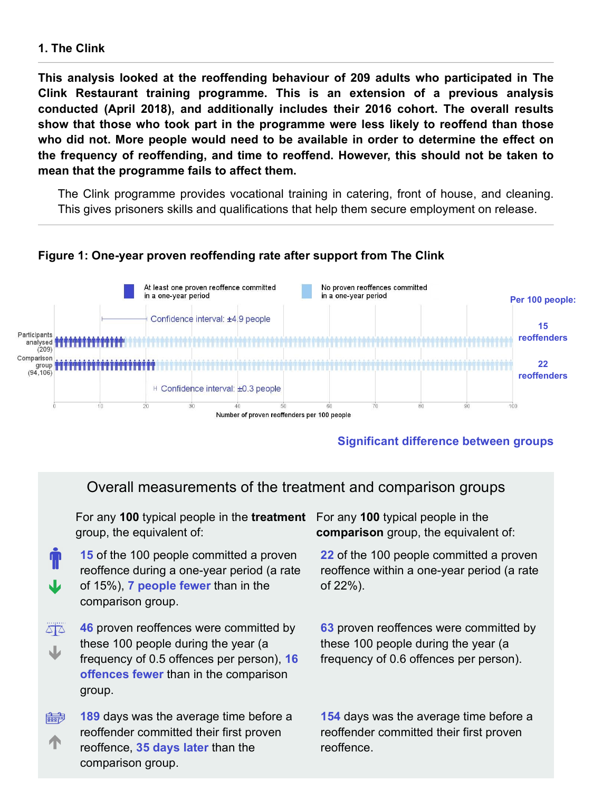### 1. The Clink

This analysis looked at the reoffending behaviour of 209 adults who participated in The 1. The Clink<br>This analysis looked at the reoffending behaviour of 209 adults who participated in The<br>Clink Restaurant training programme. This is an extension of a previous analysis<br>conducted (April 2018), and additionally conducted (April 2018), and additionally includes their 2016 cohort. The overall results show that those who took part in the programme were less likely to reoffend than those who did not. More people would need to be available in order to determine the effect on the frequency of reoffending, and time to reoffend. However, this should not be taken to mean that the programme fails to affect them.

The Clink programme provides vocational training in catering, front of house, and cleaning. This gives prisoners skills and qualifications that help them secure employment on release.

### Figure 1: One-year proven reoffending rate after support from The Clink



### Significant difference between groups

### Overall measurements of the treatment and comparison groups

For any 100 typical people in the treatment For any 100 typical people in the group, the equivalent of:

- of 15%), 7 people fewer than in the  $\qquad \qquad$  of 22%). 15 of the 100 people committed a proven reoffence during a one-year period (a rate comparison group.
- $\overline{\triangle}$ **46** proven reoffences were committed by these 100 people during the year (a frequency of 0.5 offences per person), **16** frequency of 0.6 offences per offences fewer than in the comparison group.
- 189 days was the average time before a  $\frac{1}{\left|\frac{1}{258817}\right|}$ reoffender committed their first proven **The reoffence, 35 days later than the metallician continues** comparison group.

comparison group, the equivalent of:

22 of the 100 people committed a proven reoffence within a one-year period (a rate of 22%).

**63** proven reoffences were committed by these 100 people during the year (a frequency of 0.6 offences per person).

154 days was the average time before a reoffender committed their first proven reoffence.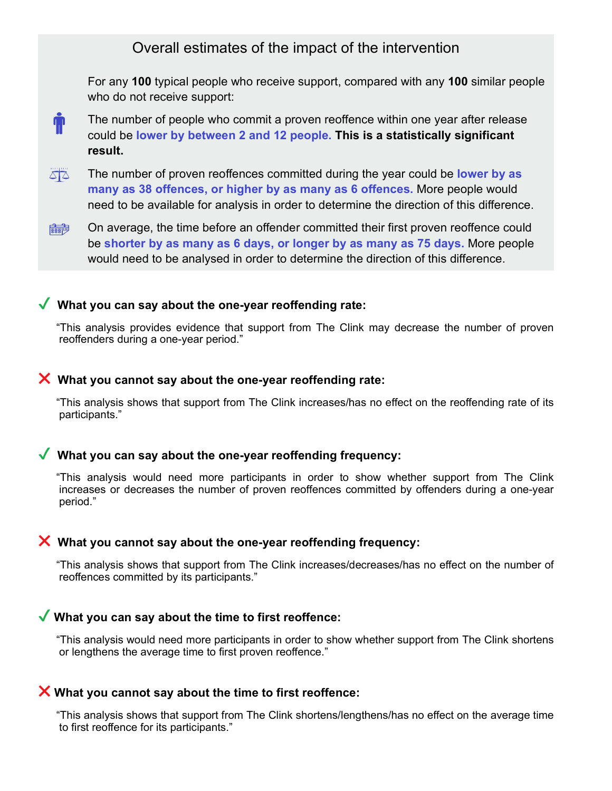For any 100 typical people who receive support, compared with any 100 similar people who do not receive support:



- $\Delta \overline{\Delta}$ The number of proven reoffences committed during the year could be lower by as many as 38 offences, or higher by as many as 6 offences. More people would need to be available for analysis in order to determine the direction of this difference.
- On average, the time before an offender committed their first proven reoffence could be shorter by as many as 6 days, or longer by as many as 75 days. More people would need to be analysed in order to determine the direction of this difference. On average, the time before an offender committed their first proven reoffence could<br>be shorter by as many as 6 days, or longer by as many as 75 days. More people<br>would need to be analysed in order to determine the directi

### $\sqrt{\ }$  What you can say about the one-year reoffending rate:

"This analysis provides evidence that support from The Clink may decrease the number of proven reoffenders during a one-year period."

#### $\boldsymbol{\times}$  What you cannot say about the one-year reoffending rate:

"This analysis shows that support from The Clink increases/has no effect on the reoffending rate of its participants."

### $\sqrt{\ }$  What you can say about the one-year reoffending frequency:

increases or decreases the number of proven reoffences committed by offenders during a one-year period."

### $\boldsymbol{\times}$  What you cannot say about the one-year reoffending frequency:

"This analysis shows that support from The Clink increases/decreases/has no effect on the number of reoffences committed by its participants."

### $\blacktriangledown$  What you can say about the time to first reoffence:

"This analysis would need more participants in order to show whether support from The Clink shortens or lengthens the average time to first proven reoffence."

### $\boldsymbol{\times}$  What you cannot say about the time to first reoffence:

"This analysis shows that support from The Clink shortens/lengthens/has no effect on the average time to first reoffence for its participants."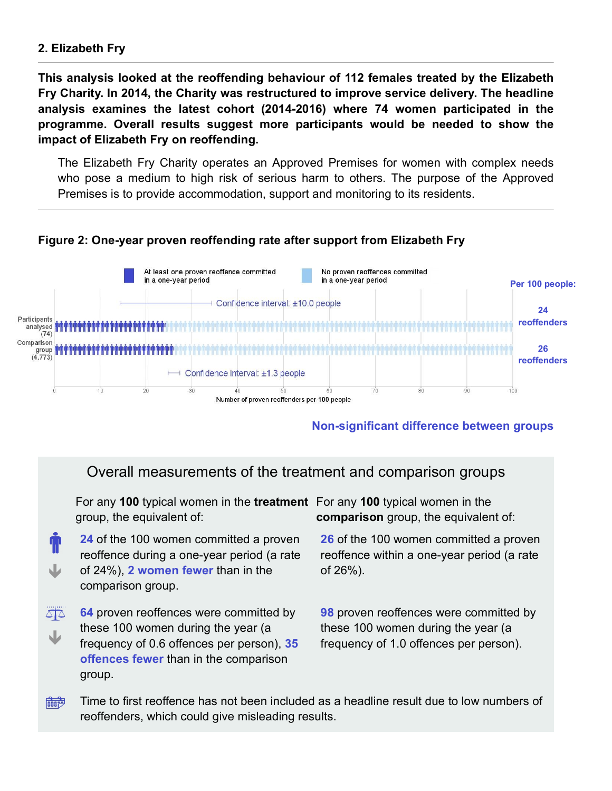### 2. Elizabeth Fry

This analysis looked at the reoffending behaviour of 112 females treated by the Elizabeth Fry Charity. In 2014, the Charity was restructured to improve service delivery. The headline 2. Elizabeth Fry<br>This analysis looked at the reoffending behaviour of 112 females treated by the Elizabeth<br>Fry Charity. In 2014, the Charity was restructured to improve service delivery. The headline<br>analysis examines the 2. Elizabeth Fry<br>
This analysis looked at the reoffending behaviour of 112 females treated by the Elizabeth<br>
Fry Charity. In 2014, the Charity was restructured to improve service delivery. The headline<br>
analysis examines t impact of Elizabeth Fry on reoffending.

The Elizabeth Fry Charity operates an Approved Premises for women with complex needs who pose a medium to high risk of serious harm to others. The purpose of the Approved Premises is to provide accommodation, support and monitoring to its residents.



### Figure 2: One-year proven reoffending rate after support from Elizabeth Fry

### Non-significant difference between groups

### Overall measurements of the treatment and comparison groups

For any **100** typical women in the **treatment** For any **100** typical women in the group, the equivalent of: comparison group, the equivalent of:

of 24%), 2 women fewer than in the  $\qquad \qquad$  of 26%). 24 of the 100 women committed a proven reoffence during a one-year period (a rate comparison group.

 $\overline{\triangle}$ 64 proven reoffences were committed by these 100 women during the year (a frequency of 0.6 offences per person), 35 frequency of 1.0 offences per offences fewer than in the comparison group.

26 of the 100 women committed a proven reoffence within a one-year period (a rate of 26%).

**98** proven reoffences were committed by these 100 women during the year (a frequency of 1.0 offences per person).

Time to first reoffence has not been included as a headline result due to low numbers of  $\frac{1}{\frac{1}{2}}$ reoffenders, which could give misleading results.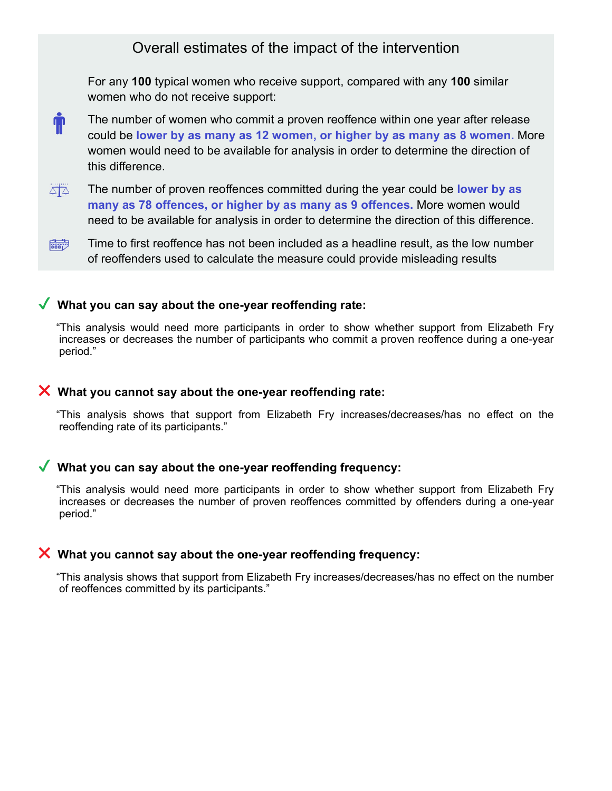For any 100 typical women who receive support, compared with any 100 similar women who do not receive support:

- The number of women who commit a proven reoffence within one year after release  $\ddot{\textbf{r}}$ could be lower by as many as 12 women, or higher by as many as 8 women. More women would need to be available for analysis in order to determine the direction of this difference.
- The number of proven reoffences committed during the year could be **lower by as** many as 78 offences, or higher by as many as 9 offences. More women would need to be available for analysis in order to determine the direction of this difference. The number of proven reoffences committed during the year could be lower by as<br>this difference.<br>The number of proven reoffences committed during the year could be lower by as<br>many as 78 offences, or higher by as many as 9
- Time to first reoffence has not been included as a headline result, as the low number of reoffenders used to calculate the measure could provide misleading results

### $\sqrt{\ }$  What you can say about the one-year reoffending rate:

"This analysis would need more participants in order to show whether support from Elizabeth Fry increases or decreases the number of participants who commit a proven reoffence during a one-year period."

### $\boldsymbol{\times}$  What you cannot say about the one-year reoffending rate:

reoffending rate of its participants."

### $\sqrt{\ }$  What you can say about the one-year reoffending frequency:

"This analysis would need more participants in order to show whether support from Elizabeth Fry increases or decreases the number of proven reoffences committed by offenders during a one-year period."

### $\boldsymbol{\times}$  What you cannot say about the one-year reoffending frequency:

"This analysis shows that support from Elizabeth Fry increases/decreases/has no effect on the number of reoffences committed by its participants."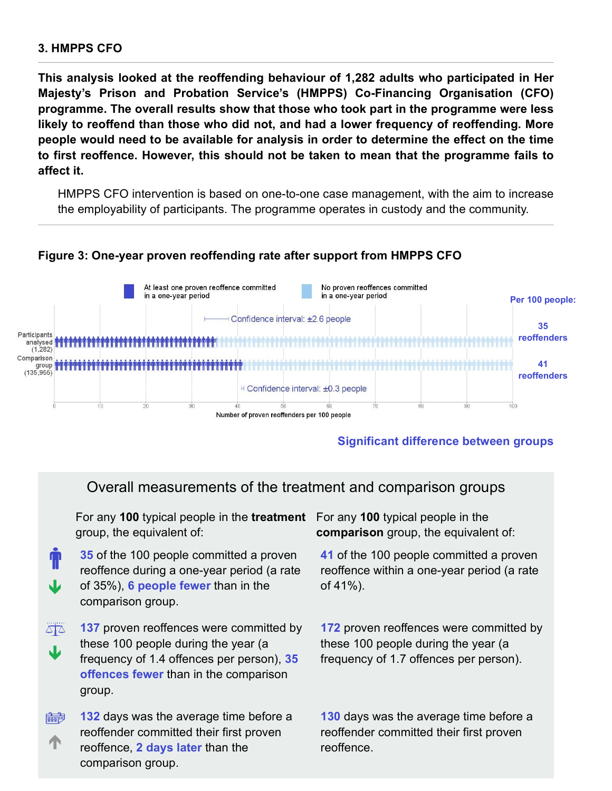### 3. HMPPS CFO

This analysis looked at the reoffending behaviour of 1,282 adults who participated in Her 3. HMPPS CFO<br>This analysis looked at the reoffending behaviour of 1,282 adults who participated in Her<br>Majesty's Prison and Probation Service's (HMPPS) Co-Financing Organisation (CFO)<br>programme. The overall results show th programme. The overall results show that those who took part in the programme were less likely to reoffend than those who did not, and had a lower frequency of reoffending. More people would need to be available for analysis in order to determine the effect on the time to first reoffence. However, this should not be taken to mean that the programme fails to affect it.

HMPPS CFO intervention is based on one-to-one case management, with the aim to increase the employability of participants. The programme operates in custody and the community.



### Figure 3: One-year proven reoffending rate after support from HMPPS CFO

### Significant difference between groups

### Overall measurements of the treatment and comparison groups

For any 100 typical people in the treatment For any 100 typical people in the group, the equivalent of:

- of 35%), 6 people fewer than in the  $\qquad \qquad$  of 41%). **35** of the 100 people committed a proven reoffence during a one-year period (a rate comparison group.
- $\overline{\triangle}$ 137 proven reoffences were committed by these 100 people during the year (a frequency of 1.4 offences per person), 35 frequency of 1.7 offences per offences fewer than in the comparison group.
- 132 days was the average time before a  $\frac{1}{\left|\frac{1}{258817}\right|}$ reoffender committed their first proven **The contract communes are more proven** to contract communes comparison group.

comparison group, the equivalent of:

41 of the 100 people committed a proven reoffence within a one-year period (a rate of 41%).

172 proven reoffences were committed by these 100 people during the year (a frequency of 1.7 offences per person).

130 days was the average time before a reoffender committed their first proven reoffence.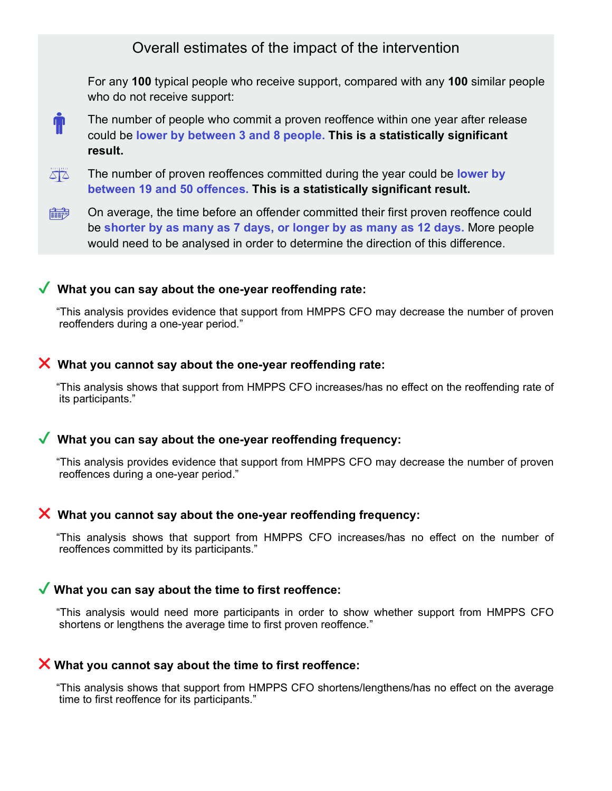For any 100 typical people who receive support, compared with any 100 similar people who do not receive support:



The number of people who commit a proven reoffence within one year after release could be lower by between 3 and 8 people. This is a statistically significant result.

 $\Delta \overline{\Delta}$ The number of proven reoffences committed during the year could be lower by between 19 and 50 offences. This is a statistically significant result.

On average, the time before an offender committed their first proven reoffence could  $\frac{1}{888812}$ be shorter by as many as 7 days, or longer by as many as 12 days. More people would need to be analysed in order to determine the direction of this difference.

### $\sqrt{\ }$  What you can say about the one-year reoffending rate:

"This analysis provides evidence that support from HMPPS CFO may decrease the number of proven reoffenders during a one-year period." What you can say about the one-year reoffending rate:<br>"This analysis provides evidence that support from HMPPS CFO may decrease the number of proven<br>reoffenders during a one-year period."<br>What you cannot say about the one-

### $\boldsymbol{\times}$  What you cannot say about the one-year reoffending rate:

"This analysis shows that support from HMPPS CFO increases/has no effect on the reoffending rate of its participants."

### $\sqrt{\ }$  What you can say about the one-year reoffending frequency:

"This analysis provides evidence that support from HMPPS CFO may decrease the number of proven reoffences during a one-year period."

### $\boldsymbol{\times}$  What you cannot say about the one-year reoffending frequency:

reoffences committed by its participants."

### $\blacktriangledown$  What you can say about the time to first reoffence:

"This analysis would need more participants in order to show whether support from HMPPS CFO shortens or lengthens the average time to first proven reoffence."

### $\boldsymbol{\times}$  What you cannot say about the time to first reoffence:

"This analysis shows that support from HMPPS CFO shortens/lengthens/has no effect on the average time to first reoffence for its participants."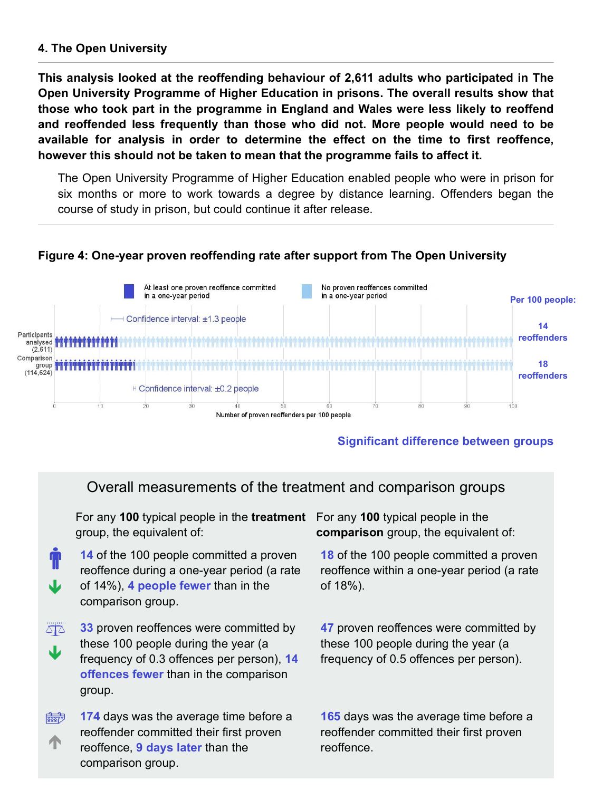### 4. The Open University

This analysis looked at the reoffending behaviour of 2,611 adults who participated in The Open University Programme of Higher Education in prisons. The overall results show that those who took part in the programme in England and Wales were less likely to reoffend and reoffended less frequently than those who did not. More people would need to be 4. The Open University<br>
This analysis looked at the reoffending behaviour of 2,611 adults who participated in The<br>
Open University Programme of Higher Education in prisons. The overall results show that<br>
those who took pa however this should not be taken to mean that the programme fails to affect it.

The Open University Programme of Higher Education enabled people who were in prison for six months or more to work towards a degree by distance learning. Offenders began the course of study in prison, but could continue it after release.

### Figure 4: One-year proven reoffending rate after support from The Open University



### Significant difference between groups

### Overall measurements of the treatment and comparison groups

For any 100 typical people in the treatment For any 100 typical people in the group, the equivalent of:

- of 14%), 4 people fewer than in the  $\qquad \qquad$  of 18%). 14 of the 100 people committed a proven reoffence during a one-year period (a rate comparison group.
- $\overline{\triangle}$ **33** proven reoffences were committed by these 100 people during the year (a frequency of 0.3 offences per person), 14 frequency of 0.5 offences per offences fewer than in the comparison group.
- 174 days was the average time before a  $\frac{1}{\left|\frac{1}{258817}\right|}$ reoffender committed their first proven **The contract communes are more proven** to contract communes comparison group.

comparison group, the equivalent of:

18 of the 100 people committed a proven reoffence within a one-year period (a rate of 18%).

47 proven reoffences were committed by these 100 people during the year (a frequency of 0.5 offences per person).

165 days was the average time before a reoffender committed their first proven reoffence.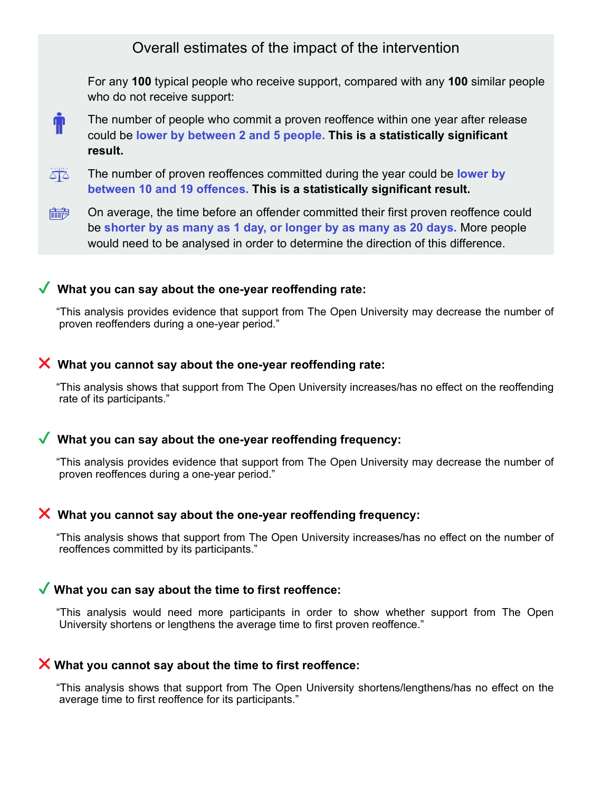For any 100 typical people who receive support, compared with any 100 similar people who do not receive support:



The number of people who commit a proven reoffence within one year after release could be lower by between 2 and 5 people. This is a statistically significant result.

 $\Delta \overline{\Delta}$ The number of proven reoffences committed during the year could be lower by between 10 and 19 offences. This is a statistically significant result.

On average, the time before an offender committed their first proven reoffence could  $\frac{1}{888812}$ be shorter by as many as 1 day, or longer by as many as 20 days. More people would need to be analysed in order to determine the direction of this difference.

### $\sqrt{\ }$  What you can say about the one-year reoffending rate:

"This analysis provides evidence that support from The Open University may decrease the number of proven reoffenders during a one-year period."

### $\boldsymbol{\times}$  What you cannot say about the one-year reoffending rate:

"This analysis shows that support from The Open University increases/has no effect on the reoffending rate of its participants." What you cannot say about the one-year reoffending rate:<br>
"This analysis shows that support from The Open University increases/has no effect on the reoffending<br>
rate of its participants."<br>
What you can say about the one-ye

### $\sqrt{\ }$  What you can say about the one-year reoffending frequency:

"This analysis provides evidence that support from The Open University may decrease the number of proven reoffences during a one-year period."

### $\boldsymbol{\times}$  What you cannot say about the one-year reoffending frequency:

"This analysis shows that support from The Open University increases/has no effect on the number of reoffences committed by its participants."

### $\blacktriangledown$  What you can say about the time to first reoffence:

University shortens or lengthens the average time to first proven reoffence."

### $\boldsymbol{\times}$  What you cannot say about the time to first reoffence:

"This analysis shows that support from The Open University shortens/lengthens/has no effect on the average time to first reoffence for its participants."